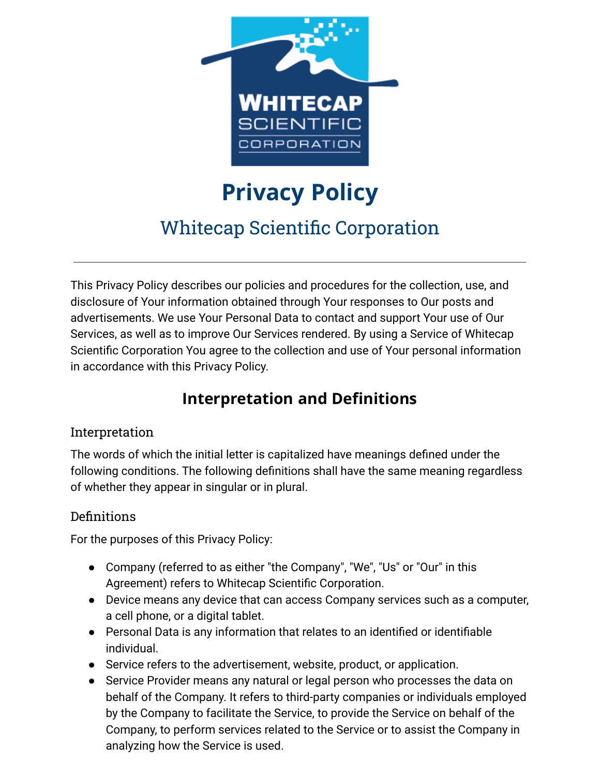

# **Privacy Policy** Whitecap Scientific Corporation

This Privacy Policy describes our policies and procedures for the collection, use, and disclosure of Your information obtained through Your responses to Our posts and advertisements. We use Your Personal Data to contact and support Your use of Our Services, as well as to improve Our Services rendered. By using a Service of Whitecap Scientific Corporation You agree to the collection and use of Your personal information in accordance with this Privacy Policy.

## **Interpretation and Definitions**

#### Interpretation

The words of which the initial letter is capitalized have meanings defined under the following conditions. The following definitions shall have the same meaning regardless of whether they appear in singular or in plural.

#### Definitions

For the purposes of this Privacy Policy:

- Company (referred to as either "the Company", "We", "Us" or "Our" in this Agreement) refers to Whitecap Scientific Corporation.
- Device means any device that can access Company services such as a computer, a cell phone, or a digital tablet.
- Personal Data is any information that relates to an identified or identifiable individual.
- Service refers to the advertisement, website, product, or application.
- Service Provider means any natural or legal person who processes the data on behalf of the Company. It refers to third-party companies or individuals employed by the Company to facilitate the Service, to provide the Service on behalf of the Company, to perform services related to the Service or to assist the Company in analyzing how the Service is used.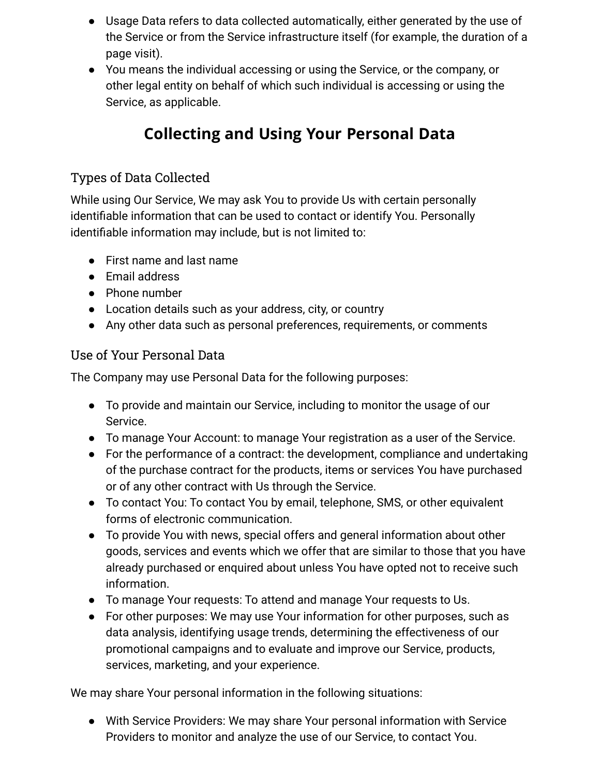- Usage Data refers to data collected automatically, either generated by the use of the Service or from the Service infrastructure itself (for example, the duration of a page visit).
- You means the individual accessing or using the Service, or the company, or other legal entity on behalf of which such individual is accessing or using the Service, as applicable.

# **Collecting and Using Your Personal Data**

#### Types of Data Collected

While using Our Service, We may ask You to provide Us with certain personally identifiable information that can be used to contact or identify You. Personally identifiable information may include, but is not limited to:

- First name and last name
- Email address
- Phone number
- Location details such as your address, city, or country
- Any other data such as personal preferences, requirements, or comments

#### Use of Your Personal Data

The Company may use Personal Data for the following purposes:

- To provide and maintain our Service, including to monitor the usage of our Service.
- To manage Your Account: to manage Your registration as a user of the Service.
- For the performance of a contract: the development, compliance and undertaking of the purchase contract for the products, items or services You have purchased or of any other contract with Us through the Service.
- To contact You: To contact You by email, telephone, SMS, or other equivalent forms of electronic communication.
- To provide You with news, special offers and general information about other goods, services and events which we offer that are similar to those that you have already purchased or enquired about unless You have opted not to receive such information.
- To manage Your requests: To attend and manage Your requests to Us.
- For other purposes: We may use Your information for other purposes, such as data analysis, identifying usage trends, determining the effectiveness of our promotional campaigns and to evaluate and improve our Service, products, services, marketing, and your experience.

We may share Your personal information in the following situations:

● With Service Providers: We may share Your personal information with Service Providers to monitor and analyze the use of our Service, to contact You.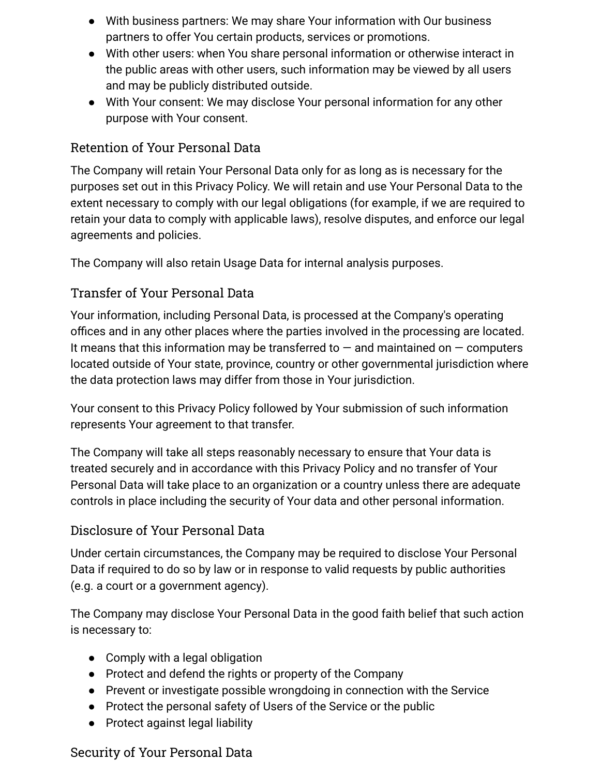- With business partners: We may share Your information with Our business partners to offer You certain products, services or promotions.
- With other users: when You share personal information or otherwise interact in the public areas with other users, such information may be viewed by all users and may be publicly distributed outside.
- With Your consent: We may disclose Your personal information for any other purpose with Your consent.

#### Retention of Your Personal Data

The Company will retain Your Personal Data only for as long as is necessary for the purposes set out in this Privacy Policy. We will retain and use Your Personal Data to the extent necessary to comply with our legal obligations (for example, if we are required to retain your data to comply with applicable laws), resolve disputes, and enforce our legal agreements and policies.

The Company will also retain Usage Data for internal analysis purposes.

#### Transfer of Your Personal Data

Your information, including Personal Data, is processed at the Company's operating offices and in any other places where the parties involved in the processing are located. It means that this information may be transferred to  $-$  and maintained on  $-$  computers located outside of Your state, province, country or other governmental jurisdiction where the data protection laws may differ from those in Your jurisdiction.

Your consent to this Privacy Policy followed by Your submission of such information represents Your agreement to that transfer.

The Company will take all steps reasonably necessary to ensure that Your data is treated securely and in accordance with this Privacy Policy and no transfer of Your Personal Data will take place to an organization or a country unless there are adequate controls in place including the security of Your data and other personal information.

#### Disclosure of Your Personal Data

Under certain circumstances, the Company may be required to disclose Your Personal Data if required to do so by law or in response to valid requests by public authorities (e.g. a court or a government agency).

The Company may disclose Your Personal Data in the good faith belief that such action is necessary to:

- Comply with a legal obligation
- Protect and defend the rights or property of the Company
- Prevent or investigate possible wrongdoing in connection with the Service
- Protect the personal safety of Users of the Service or the public
- Protect against legal liability

#### Security of Your Personal Data